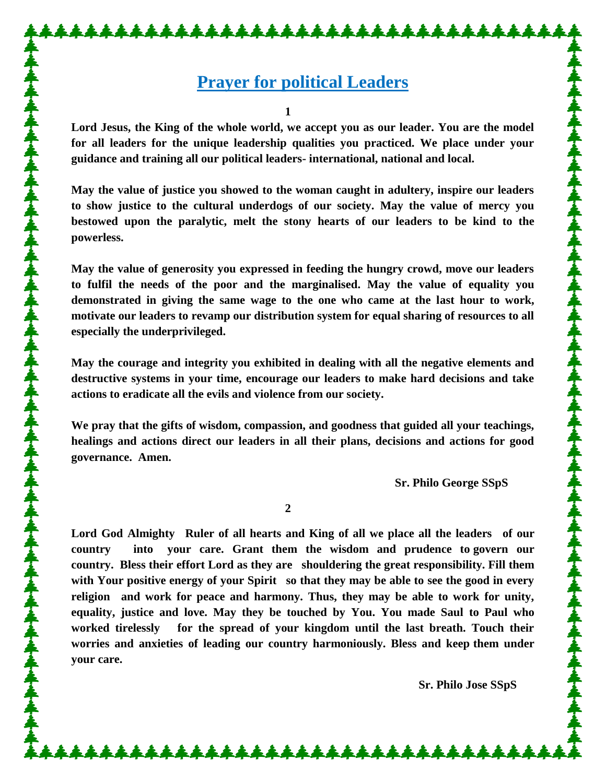## **Prayer for political Leaders**

**1**

**Lord Jesus, the King of the whole world, we accept you as our leader. You are the model for all leaders for the unique leadership qualities you practiced. We place under your guidance and training all our political leaders- international, national and local.** 

**May the value of justice you showed to the woman caught in adultery, inspire our leaders to show justice to the cultural underdogs of our society. May the value of mercy you bestowed upon the paralytic, melt the stony hearts of our leaders to be kind to the powerless.**

**May the value of generosity you expressed in feeding the hungry crowd, move our leaders to fulfil the needs of the poor and the marginalised. May the value of equality you demonstrated in giving the same wage to the one who came at the last hour to work, motivate our leaders to revamp our distribution system for equal sharing of resources to all especially the underprivileged.** 

**May the courage and integrity you exhibited in dealing with all the negative elements and destructive systems in your time, encourage our leaders to make hard decisions and take actions to eradicate all the evils and violence from our society.**

**We pray that the gifts of wisdom, compassion, and goodness that guided all your teachings, healings and actions direct our leaders in all their plans, decisions and actions for good governance. Amen.** 

**Sr. Philo George SSpS**

**2**

**Lord God Almighty Ruler of all hearts and King of all we place all the leaders of our country into your care. Grant them the wisdom and prudence to govern our country. Bless their effort Lord as they are shouldering the great responsibility. Fill them with Your positive energy of your Spirit so that they may be able to see the good in every religion and work for peace and harmony. Thus, they may be able to work for unity, equality, justice and love. May they be touched by You. You made Saul to Paul who worked tirelessly for the spread of your kingdom until the last breath. Touch their worries and anxieties of leading our country harmoniously. Bless and keep them under your care.**

 **Sr. Philo Jose SSpS**